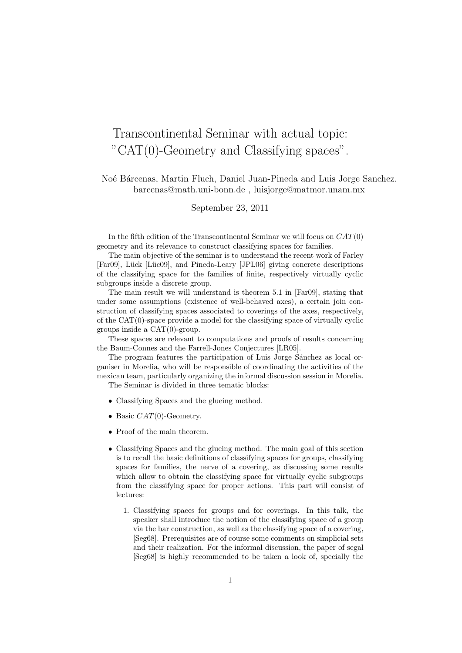## Transcontinental Seminar with actual topic: "CAT(0)-Geometry and Classifying spaces".

Noé Bárcenas, Martin Fluch, Daniel Juan-Pineda and Luis Jorge Sanchez. barcenas@math.uni-bonn.de , luisjorge@matmor.unam.mx

September 23, 2011

In the fifth edition of the Transcontinental Seminar we will focus on  $CAT(0)$ geometry and its relevance to construct classifying spaces for families.

The main objective of the seminar is to understand the recent work of Farley [Far09], Lück [Lüc09], and Pineda-Leary [JPL06] giving concrete descriptions of the classifying space for the families of finite, respectively virtually cyclic subgroups inside a discrete group.

The main result we will understand is theorem 5.1 in [Far09], stating that under some assumptions (existence of well-behaved axes), a certain join construction of classifying spaces associated to coverings of the axes, respectively, of the CAT(0)-space provide a model for the classifying space of virtually cyclic groups inside a CAT(0)-group.

These spaces are relevant to computations and proofs of results concerning the Baum-Connes and the Farrell-Jones Conjectures [LR05].

The program features the participation of Luis Jorge Sánchez as local organiser in Morelia, who will be responsible of coordinating the activities of the mexican team, particularly organizing the informal discussion session in Morelia. The Seminar is divided in three tematic blocks:

- Classifying Spaces and the glueing method.
- Basic  $CAT(0)$ -Geometry.
- Proof of the main theorem.
- Classifying Spaces and the glueing method. The main goal of this section is to recall the basic definitions of classifying spaces for groups, classifying spaces for families, the nerve of a covering, as discussing some results which allow to obtain the classifying space for virtually cyclic subgroups from the classifying space for proper actions. This part will consist of lectures:
	- 1. Classifying spaces for groups and for coverings. In this talk, the speaker shall introduce the notion of the classifying space of a group via the bar construction, as well as the classifying space of a covering, [Seg68]. Prerequisites are of course some comments on simplicial sets and their realization. For the informal discussion, the paper of segal [Seg68] is highly recommended to be taken a look of, specially the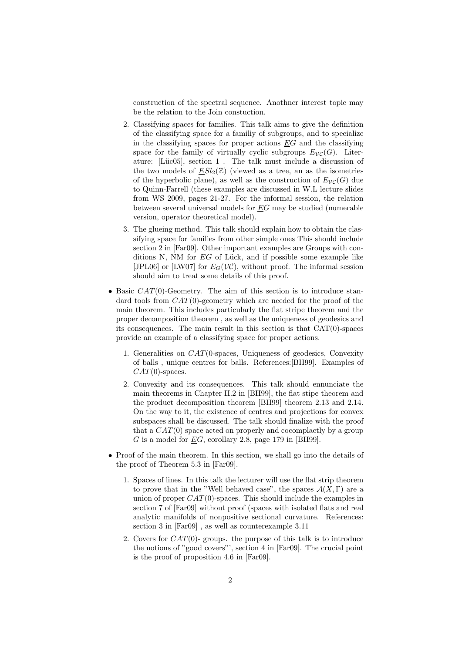construction of the spectral sequence. Anothner interest topic may be the relation to the Join constuction.

- 2. Classifying spaces for families. This talk aims to give the definition of the classifying space for a familiy of subgroups, and to specialize in the classifying spaces for proper actions  $EG$  and the classifying space for the family of virtually cyclic subgroups  $E_{\mathcal{VC}}(G)$ . Literature: [Lüc05], section  $1$ . The talk must include a discussion of the two models of  $ESl_2(\mathbb{Z})$  (viewed as a tree, an as the isometries of the hyperbolic plane), as well as the construction of  $E_{\mathcal{VC}}(G)$  due to Quinn-Farrell (these examples are discussed in W.L lecture slides from WS 2009, pages 21-27. For the informal session, the relation between several universal models for EG may be studied (numerable version, operator theoretical model).
- 3. The glueing method. This talk should explain how to obtain the classifying space for families from other simple ones This should include section 2 in [Far09]. Other important examples are Groups with conditions N, NM for  $\underline{E}G$  of Lück, and if possible some example like [JPL06] or [LW07] for  $E_G(V\mathcal{C})$ , without proof. The informal session should aim to treat some details of this proof.
- Basic  $CAT(0)$ -Geometry. The aim of this section is to introduce standard tools from  $CAT(0)$ -geometry which are needed for the proof of the main theorem. This includes particularly the flat stripe theorem and the proper decomposition theorem , as well as the uniqueness of geodesics and its consequences. The main result in this section is that CAT(0)-spaces provide an example of a classifying space for proper actions.
	- 1. Generalities on CAT(0-spaces, Uniqueness of geodesics, Convexity of balls , unique centres for balls. References:[BH99]. Examples of  $CAT(0)$ -spaces.
	- 2. Convexity and its consequences. This talk should ennunciate the main theorems in Chapter II.2 in [BH99], the flat stipe theorem and the product decomposition theorem [BH99] theorem 2.13 and 2.14. On the way to it, the existence of centres and projections for convex subspaces shall be discussed. The talk should finalize with the proof that a  $CAT(0)$  space acted on properly and cocomplactly by a group G is a model for  $EG$ , corollary 2.8, page 179 in [BH99].
- Proof of the main theorem. In this section, we shall go into the details of the proof of Theorem 5.3 in [Far09].
	- 1. Spaces of lines. In this talk the lecturer will use the flat strip theorem to prove that in the "Well behaved case", the spaces  $\mathcal{A}(X,\Gamma)$  are a union of proper  $CAT(0)$ -spaces. This should include the examples in section 7 of [Far09] without proof (spaces with isolated flats and real analytic manifolds of nonpositive sectional curvature. References: section 3 in [Far09] , as well as counterexample 3.11
	- 2. Covers for  $CAT(0)$  groups. the purpose of this talk is to introduce the notions of "good covers"', section 4 in [Far09]. The crucial point is the proof of proposition 4.6 in [Far09].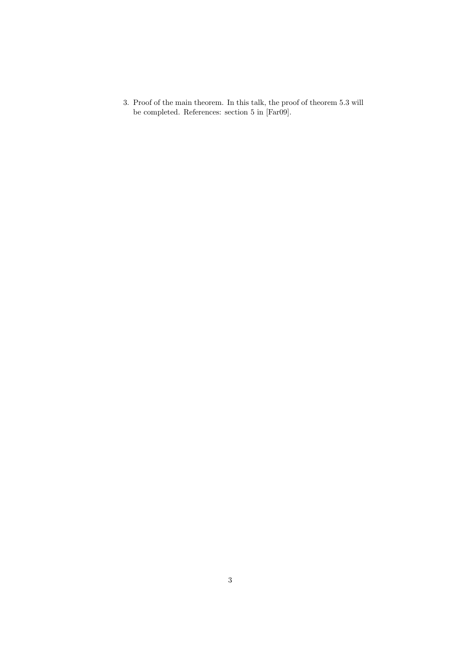3. Proof of the main theorem. In this talk, the proof of theorem 5.3 will be completed. References: section 5 in [Far09].